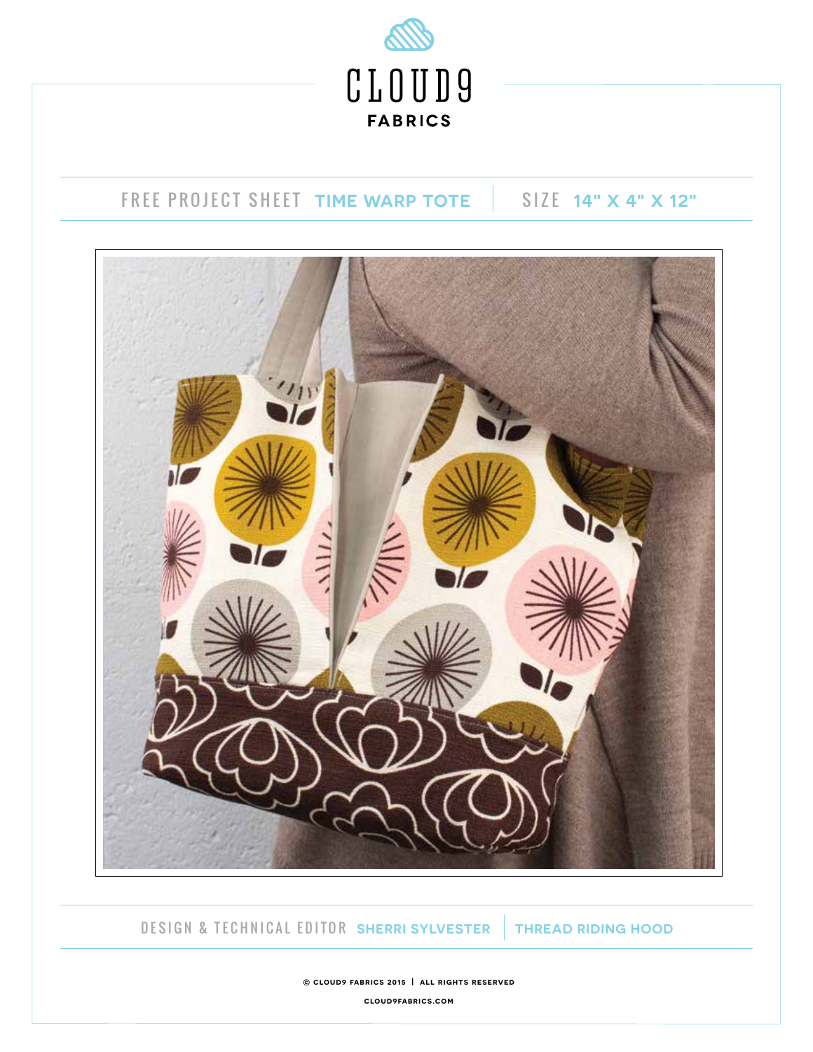

# FREE PROJECT SHEET **TIME WARP TOTE** SIZE **14" X 4" X 12"**



DESIGN & TECHNICAL EDITOR **SHERRI SYLVESTER THREAD RIDING HOOD** 

**© cloud9 fabrics 2015 | all rights reserved**

**cloud9fabrics.com**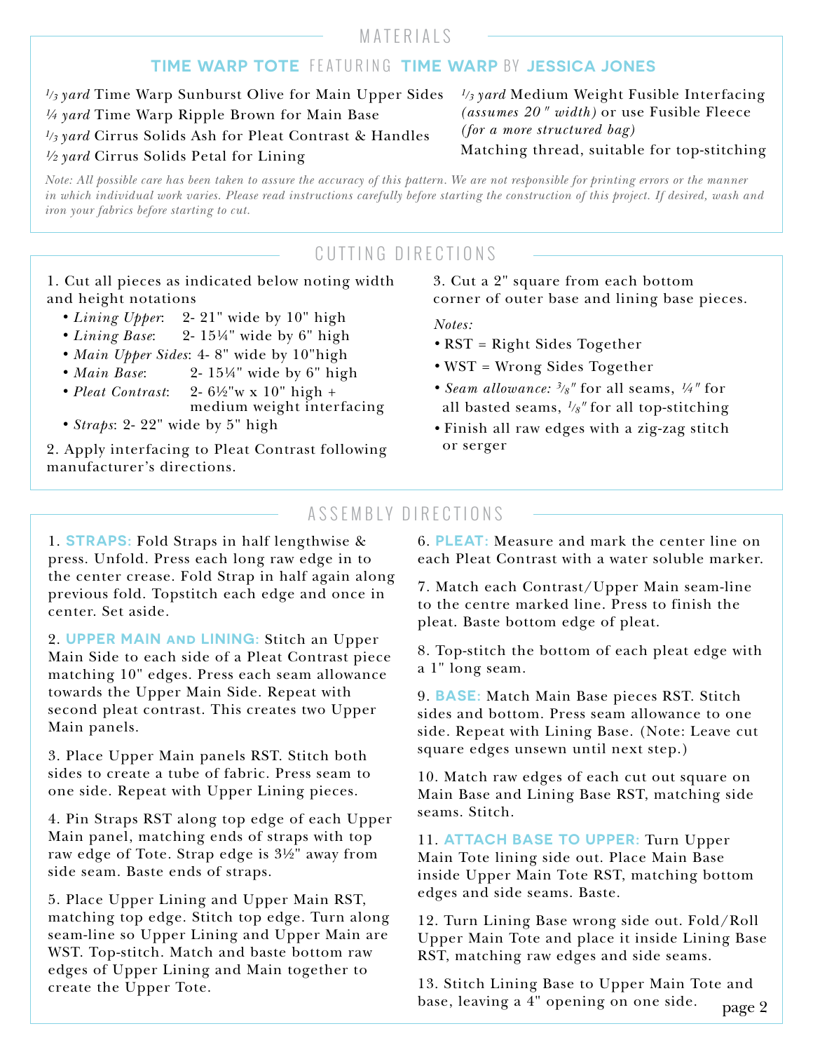## MATERIALS

#### **TIME WARP TOTE** FEATURING **TIME WARP** BY **JESSICA JONES**

*1/3 yard* Time Warp Sunburst Olive for Main Upper Sides *¼ yard* Time Warp Ripple Brown for Main Base *1/3 yard* Cirrus Solids Ash for Pleat Contrast & Handles *½ yard* Cirrus Solids Petal for Lining

*1/3 yard* Medium Weight Fusible Interfacing *(assumes 20 " width)* or use Fusible Fleece *(for a more structured bag)* Matching thread, suitable for top-stitching

*Note: All possible care has been taken to assure the accuracy of this pattern. We are not responsible for printing errors or the manner in which individual work varies. Please read instructions carefully before starting the construction of this project. If desired, wash and iron your fabrics before starting to cut.*

# CUTTING DIRECTIONS

1. Cut all pieces as indicated below noting width and height notations

- *Lining Upper*: 2-21" wide by 10" high
- *Lining Base*: 2- 15¼" wide by 6" high
- *Main Upper Sides*: 4- 8" wide by 10"high
- *Main Base*: 2- 15¼" wide by 6" high
- *Pleat Contrast*: 2- 6½"w x 10" high + medium weight interfacing
- *Straps*: 2-22" wide by 5" high

2. Apply interfacing to Pleat Contrast following manufacturer's directions.

#### 3. Cut a 2" square from each bottom corner of outer base and lining base pieces.

*Notes:*

- RST = Right Sides Together
- WST = Wrong Sides Together
- *Seam allowance: 3/8"* for all seams, *¼"* for all basted seams, *1/8"* for all top-stitching
- Finish all raw edges with a zig-zag stitch or serger

## ASSEMBLY DIRECTIONS

1. **STRAPS:** Fold Straps in half lengthwise & press. Unfold. Press each long raw edge in to the center crease. Fold Strap in half again along previous fold. Topstitch each edge and once in center. Set aside.

2. **UPPER MAIN and LINING:** Stitch an Upper Main Side to each side of a Pleat Contrast piece matching 10" edges. Press each seam allowance towards the Upper Main Side. Repeat with second pleat contrast. This creates two Upper Main panels.

3. Place Upper Main panels RST. Stitch both sides to create a tube of fabric. Press seam to one side. Repeat with Upper Lining pieces.

4. Pin Straps RST along top edge of each Upper Main panel, matching ends of straps with top raw edge of Tote. Strap edge is 3½" away from side seam. Baste ends of straps.

5. Place Upper Lining and Upper Main RST, matching top edge. Stitch top edge. Turn along seam-line so Upper Lining and Upper Main are WST. Top-stitch. Match and baste bottom raw edges of Upper Lining and Main together to create the Upper Tote.

6. **PLEAT:** Measure and mark the center line on each Pleat Contrast with a water soluble marker.

7. Match each Contrast/Upper Main seam-line to the centre marked line. Press to finish the pleat. Baste bottom edge of pleat.

8. Top-stitch the bottom of each pleat edge with a 1" long seam.

9. **BASE:** Match Main Base pieces RST. Stitch sides and bottom. Press seam allowance to one side. Repeat with Lining Base. (Note: Leave cut square edges unsewn until next step.)

10. Match raw edges of each cut out square on Main Base and Lining Base RST, matching side seams. Stitch.

11. **ATTACH BASE TO UPPER:** Turn Upper Main Tote lining side out. Place Main Base inside Upper Main Tote RST, matching bottom edges and side seams. Baste.

12. Turn Lining Base wrong side out. Fold/Roll Upper Main Tote and place it inside Lining Base RST, matching raw edges and side seams.

page 2 13. Stitch Lining Base to Upper Main Tote and base, leaving a 4" opening on one side.